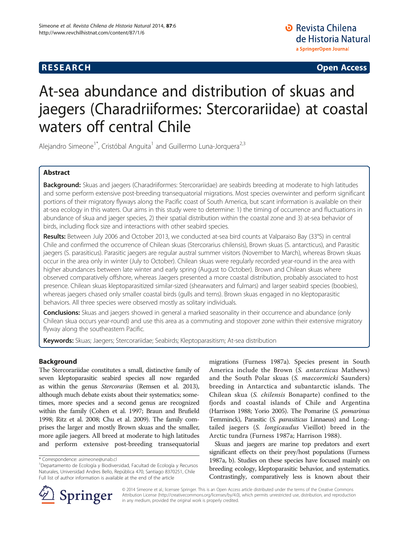# **RESEARCH CHINESE ARCH CHINESE ARCH CHINESE ARCH <b>CHINESE ARCH**

# At-sea abundance and distribution of skuas and jaegers (Charadriiformes: Stercorariidae) at coastal waters off central Chile

Alejandro Simeone<sup>1\*</sup>, Cristóbal Anguita<sup>1</sup> and Guillermo Luna-Jorquera<sup>2,3</sup>

# Abstract

Background: Skuas and jaegers (Charadriiformes: Stercorariidae) are seabirds breeding at moderate to high latitudes and some perform extensive post-breeding transequatorial migrations. Most species overwinter and perform significant portions of their migratory flyways along the Pacific coast of South America, but scant information is available on their at-sea ecology in this waters. Our aims in this study were to determine: 1) the timing of occurrence and fluctuations in abundance of skua and jaeger species, 2) their spatial distribution within the coastal zone and 3) at-sea behavior of birds, including flock size and interactions with other seabird species.

Results: Between July 2006 and October 2013, we conducted at-sea bird counts at Valparaiso Bay (33°S) in central Chile and confirmed the occurrence of Chilean skuas (Stercorarius chilensis), Brown skuas (S. antarcticus), and Parasitic jaegers (S. parasiticus). Parasitic jaegers are regular austral summer visitors (November to March), whereas Brown skuas occur in the area only in winter (July to October). Chilean skuas were regularly recorded year-round in the area with higher abundances between late winter and early spring (August to October). Brown and Chilean skuas where observed comparatively offshore, whereas Jaegers presented a more coastal distribution, probably associated to host presence. Chilean skuas kleptoparasitized similar-sized (shearwaters and fulmars) and larger seabird species (boobies), whereas jaegers chased only smaller coastal birds (gulls and terns). Brown skuas engaged in no kleptoparasitic behaviors. All three species were observed mostly as solitary individuals.

Conclusions: Skuas and jaegers showed in general a marked seasonality in their occurrence and abundance (only Chilean skua occurs year-round) and use this area as a commuting and stopover zone within their extensive migratory flyway along the southeastern Pacific.

Keywords: Skuas; Jaegers; Stercorariidae; Seabirds; Kleptoparasitism; At-sea distribution

# Background

The Stercorariidae constitutes a small, distinctive family of seven kleptoparasitic seabird species all now regarded as within the genus Stercorarius (Remsen et al. [2013](#page-6-0)), although much debate exists about their systematics; sometimes, more species and a second genus are recognized within the family (Cohen et al. [1997;](#page-6-0) Braun and Brufield [1998;](#page-6-0) Ritz et al. [2008;](#page-6-0) Chu et al. [2009](#page-6-0)). The family comprises the larger and mostly Brown skuas and the smaller, more agile jaegers. All breed at moderate to high latitudes and perform extensive post-breeding transequatorial

migrations (Furness [1987a](#page-6-0)). Species present in South America include the Brown (S. antarcticus Mathews) and the South Polar skuas (S. maccormicki Saunders) breeding in Antarctica and subantarctic islands. The Chilean skua (S. chilensis Bonaparte) confined to the fjords and coastal islands of Chile and Argentina (Harrison [1988;](#page-6-0) Yorio [2005\)](#page-6-0). The Pomarine (S. pomarinus Temminck), Parasitic (S. parasiticus Linnaeus) and Longtailed jaegers (S. longicaudus Vieillot) breed in the Arctic tundra (Furness [1987a;](#page-6-0) Harrison [1988\)](#page-6-0).

Skuas and jaegers are marine top predators and exert significant effects on their prey/host populations (Furness [1987a, b](#page-6-0)). Studies on these species have focused mainly on breeding ecology, kleptoparasitic behavior, and systematics. Contrastingly, comparatively less is known about their



© 2014 Simeone et al.; licensee Springer. This is an Open Access article distributed under the terms of the Creative Commons Attribution License [\(http://creativecommons.org/licenses/by/4.0\)](http://creativecommons.org/licenses/by/4.0), which permits unrestricted use, distribution, and reproduction in any medium, provided the original work is properly credited.

<sup>\*</sup> Correspondence: [asimeone@unab.cl](mailto:asimeone@unab.cl) <sup>1</sup>

Departamento de Ecología y Biodiversidad, Facultad de Ecología y Recursos Naturales, Universidad Andres Bello, República 470, Santiago 8370251, Chile Full list of author information is available at the end of the article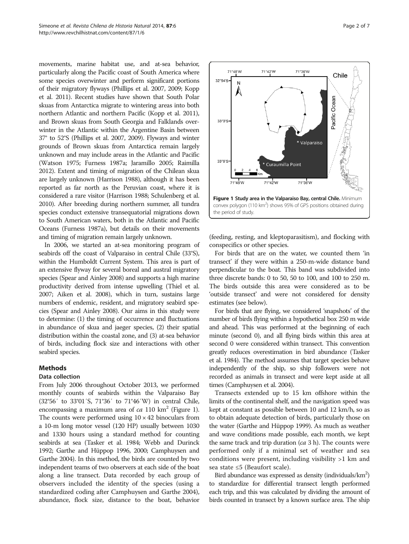<span id="page-1-0"></span>movements, marine habitat use, and at-sea behavior, particularly along the Pacific coast of South America where some species overwinter and perform significant portions of their migratory flyways (Phillips et al. [2007](#page-6-0), [2009;](#page-6-0) Kopp et al. [2011\)](#page-6-0). Recent studies have shown that South Polar skuas from Antarctica migrate to wintering areas into both northern Atlantic and northern Pacific (Kopp et al. [2011](#page-6-0)), and Brown skuas from South Georgia and Falklands overwinter in the Atlantic within the Argentine Basin between 37° to 52°S (Phillips et al. [2007, 2009](#page-6-0)). Flyways and winter grounds of Brown skuas from Antarctica remain largely unknown and may include areas in the Atlantic and Pacific (Watson [1975](#page-6-0); Furness [1987a;](#page-6-0) Jaramillo [2005](#page-6-0); Raimilla [2012\)](#page-6-0). Extent and timing of migration of the Chilean skua are largely unknown (Harrison [1988\)](#page-6-0), although it has been reported as far north as the Peruvian coast, where it is considered a rare visitor (Harrison [1988;](#page-6-0) Schulenberg et al. [2010\)](#page-6-0). After breeding during northern summer, all tundra species conduct extensive transequatorial migrations down to South American waters, both in the Atlantic and Pacific Oceans (Furness [1987a](#page-6-0)), but details on their movements and timing of migration remain largely unknown.

In 2006, we started an at-sea monitoring program of seabirds off the coast of Valparaiso in central Chile (33°S), within the Humboldt Current System. This area is part of an extensive flyway for several boreal and austral migratory species (Spear and Ainley [2008](#page-6-0)) and supports a high marine productivity derived from intense upwelling (Thiel et al. [2007;](#page-6-0) Aiken et al. [2008\)](#page-6-0), which in turn, sustains large numbers of endemic, resident, and migratory seabird species (Spear and Ainley [2008\)](#page-6-0). Our aims in this study were to determine: (1) the timing of occurrence and fluctuations in abundance of skua and jaeger species, (2) their spatial distribution within the coastal zone, and (3) at-sea behavior of birds, including flock size and interactions with other seabird species.

# Methods

# Data collection

From July 2006 throughout October 2013, we performed monthly counts of seabirds within the Valparaiso Bay (32°56′ to 33°01′S, 71°36′ to 71°46′W) in central Chile, encompassing a maximum area of  $ca$  110 km<sup>2</sup> (Figure 1). The counts were performed using  $10 \times 42$  binoculars from a 10-m long motor vessel (120 HP) usually between 1030 and 1330 hours using a standard method for counting seabirds at sea (Tasker et al. [1984](#page-6-0); Webb and Durinck [1992;](#page-6-0) Garthe and Hüppop [1996](#page-6-0), [2000;](#page-6-0) Camphuysen and Garthe [2004\)](#page-6-0). In this method, the birds are counted by two independent teams of two observers at each side of the boat along a line transect. Data recorded by each group of observers included the identity of the species (using a standardized coding after Camphuysen and Garthe [2004](#page-6-0)), abundance, flock size, distance to the boat, behavior



(feeding, resting, and kleptoparasitism), and flocking with conspecifics or other species.

For birds that are on the water, we counted them 'in transect' if they were within a 250-m-wide distance band perpendicular to the boat. This band was subdivided into three discrete bands: 0 to 50, 50 to 100, and 100 to 250 m. The birds outside this area were considered as to be 'outside transect' and were not considered for density estimates (see below).

For birds that are flying, we considered 'snapshots' of the number of birds flying within a hypothetical box 250 m wide and ahead. This was performed at the beginning of each minute (second 0), and all flying birds within this area at second 0 were considered within transect. This convention greatly reduces overestimation in bird abundance (Tasker et al. [1984\)](#page-6-0). The method assumes that target species behave independently of the ship, so ship followers were not recorded as animals in transect and were kept aside at all times (Camphuysen et al. [2004\)](#page-6-0).

Transects extended up to 15 km offshore within the limits of the continental shelf, and the navigation speed was kept at constant as possible between 10 and 12 km/h, so as to obtain adequate detection of birds, particularly those on the water (Garthe and Hüppop [1999\)](#page-6-0). As much as weather and wave conditions made possible, each month, we kept the same track and trip duration  $(ca 3 h)$ . The counts were performed only if a minimal set of weather and sea conditions were present, including visibility >1 km and sea state ≤5 (Beaufort scale).

Bird abundance was expressed as density (individuals/km<sup>2</sup>) to standardize for differential transect length performed each trip, and this was calculated by dividing the amount of birds counted in transect by a known surface area. The ship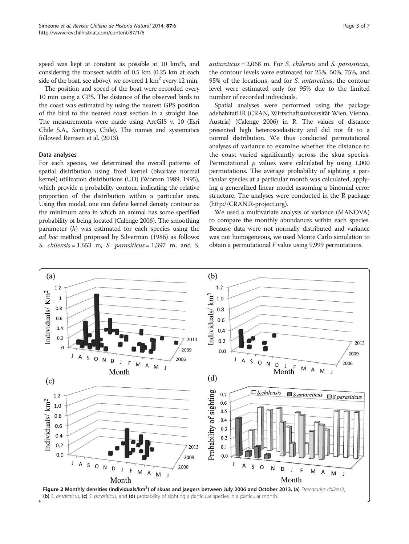<span id="page-2-0"></span>speed was kept at constant as possible at 10 km/h, and considering the transect width of 0.5 km (0.25 km at each side of the boat, see above), we covered  $1 \text{ km}^2$  every  $12 \text{ min}$ .

The position and speed of the boat were recorded every 10 min using a GPS. The distance of the observed birds to the coast was estimated by using the nearest GPS position of the bird to the nearest coast section in a straight line. The measurements were made using ArcGIS v. 10 (Esri Chile S.A., Santiago, Chile). The names and systematics followed Remsen et al. [\(2013](#page-6-0)).

## Data analyses

For each species, we determined the overall patterns of spatial distribution using fixed kernel (bivariate normal kernel) utilization distributions (UD) (Worton [1989](#page-6-0), [1995](#page-6-0)), which provide a probability contour, indicating the relative proportion of the distribution within a particular area. Using this model, one can define kernel density contour as the minimum area in which an animal has some specified probability of being located (Calenge [2006\)](#page-6-0). The smoothing parameter  $(h)$  was estimated for each species using the ad hoc method proposed by Silverman [\(1986\)](#page-6-0) as follows: S. chilensis =  $1,653$  m, S. parasiticus =  $1,397$  m, and S.

number of recorded individuals. Spatial analyses were performed using the package adehabitatHR (CRAN, Wirtschaftsuniversität Wien, Vienna, Austria) (Calenge [2006](#page-6-0)) in R. The values of distance presented high heteroscedasticity and did not fit to a normal distribution. We thus conducted permutational analyses of variance to examine whether the distance to the coast varied significantly across the skua species. Permutational  $p$  values were calculated by using  $1,000$ permutations. The average probability of sighting a particular species at a particular month was calculated, applying a generalized linear model assuming a binomial error structure. The analyses were conducted in the R package ([http://CRAN.R-project.org\)](http://cran.r-project.org).

level were estimated only for 95% due to the limited

We used a multivariate analysis of variance (MANOVA) to compare the monthly abundances within each species. Because data were not normally distributed and variance was not homogeneous, we used Monte Carlo simulation to obtain a permutational  $F$  value using 9,999 permutations.

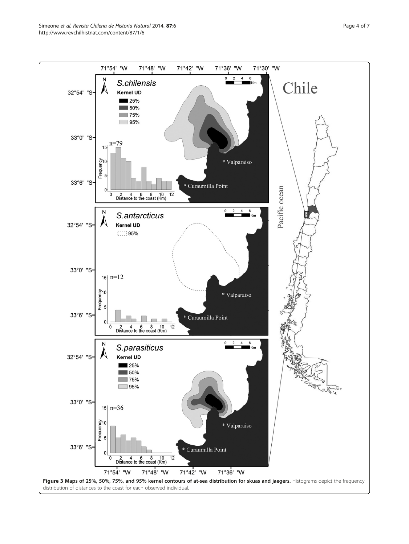<span id="page-3-0"></span>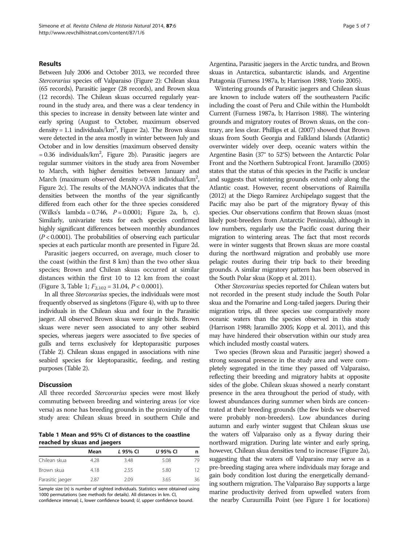### Results

Between July 2006 and October 2013, we recorded three Stercorarius species off Valparaiso (Figure [2\)](#page-2-0): Chilean skua (65 records), Parasitic jaeger (28 records), and Brown skua (12 records). The Chilean skuas occurred regularly yearround in the study area, and there was a clear tendency in this species to increase in density between late winter and early spring (August to October, maximum observed density = 1.1 individuals/ $km^2$ , Figure [2](#page-2-0)a). The Brown skuas were detected in the area mostly in winter between July and October and in low densities (maximum observed density  $= 0.36$  individuals/km<sup>2</sup>, Figure [2](#page-2-0)b). Parasitic jaegers are regular summer visitors in the study area from November to March, with higher densities between January and March (maximum observed density =  $0.58$  individual/km<sup>2</sup>, Figure [2](#page-2-0)c). The results of the MANOVA indicates that the densities between the months of the year significantly differed from each other for the three species considered (Wilks's lambda =  $0.746$ ,  $P = 0.0001$ ; Figure [2](#page-2-0)a, b, c). Similarly, univariate tests for each species confirmed highly significant differences between monthly abundances  $(P<0.0001)$ . The probabilities of observing each particular species at each particular month are presented in Figure [2](#page-2-0)d.

Parasitic jaegers occurred, on average, much closer to the coast (within the first 8 km) than the two other skua species; Brown and Chilean skuas occurred at similar distances within the first 10 to 12 km from the coast (Figure [3](#page-3-0), Table 1;  $F_{2,102} = 31.04$ ,  $P < 0.0001$ ).

In all three Stercorarius species, the individuals were most frequently observed as singletons (Figure [4](#page-5-0)), with up to three individuals in the Chilean skua and four in the Parasitic jaeger. All observed Brown skuas were single birds. Brown skuas were never seen associated to any other seabird species, whereas jaegers were associated to five species of gulls and terns exclusively for kleptoparasitic purposes (Table [2](#page-5-0)). Chilean skuas engaged in associations with nine seabird species for kleptoparasitic, feeding, and resting purposes (Table [2](#page-5-0)).

# **Discussion**

All three recorded *Stercorarius* species were most likely commuting between breeding and wintering areas (or vice versa) as none has breeding grounds in the proximity of the study area: Chilean skuas breed in southern Chile and

Table 1 Mean and 95% CI of distances to the coastline reached by skuas and jaegers

|                  | Mean | L 95% CI | U 95% CI |     |
|------------------|------|----------|----------|-----|
| Chilean skua     | 4.28 | 3.48     | 5.08     | 79. |
| Brown skua       | 4.18 | 2.55     | 5.80     | 12. |
| Parasitic jaeger | 2.87 | 2.09     | 3.65     | 36  |

Sample size (n) is number of sighted individuals. Statistics were obtained using 1000 permutations (see methods for details). All distances in km. CI, confidence interval; L, lower confidence bound; U, upper confidence bound.

Argentina, Parasitic jaegers in the Arctic tundra, and Brown skuas in Antarctica, subantarctic islands, and Argentine Patagonia (Furness [1987a](#page-6-0), [b;](#page-6-0) Harrison [1988;](#page-6-0) Yorio [2005\)](#page-6-0).

Wintering grounds of Parasitic jaegers and Chilean skuas are known to include waters off the southeastern Pacific including the coast of Peru and Chile within the Humboldt Current (Furness [1987a](#page-6-0), [b](#page-6-0); Harrison [1988](#page-6-0)). The wintering grounds and migratory routes of Brown skuas, on the contrary, are less clear. Phillips et al. ([2007](#page-6-0)) showed that Brown skuas from South Georgia and Falkland Islands (Atlantic) overwinter widely over deep, oceanic waters within the Argentine Basin (37° to 52°S) between the Antarctic Polar Front and the Northern Subtropical Front. Jaramillo ([2005](#page-6-0)) states that the status of this species in the Pacific is unclear and suggests that wintering grounds extend only along the Atlantic coast. However, recent observations of Raimilla ([2012\)](#page-6-0) at the Diego Ramirez Archipelago suggest that the Pacific may also be part of the migratory flyway of this species. Our observations confirm that Brown skuas (most likely post-breeders from Antarctic Peninsula), although in low numbers, regularly use the Pacific coast during their migration to wintering areas. The fact that most records were in winter suggests that Brown skuas are more coastal during the northward migration and probably use more pelagic routes during their trip back to their breeding grounds. A similar migratory pattern has been observed in the South Polar skua (Kopp et al. [2011](#page-6-0)).

Other Stercorarius species reported for Chilean waters but not recorded in the present study include the South Polar skua and the Pomarine and Long-tailed jaegers. During their migration trips, all three species use comparatively more oceanic waters than the species observed in this study (Harrison [1988](#page-6-0); Jaramillo [2005](#page-6-0); Kopp et al. [2011](#page-6-0)), and this may have hindered their observation within our study area which included mostly coastal waters.

Two species (Brown skua and Parasitic jaeger) showed a strong seasonal presence in the study area and were completely segregated in the time they passed off Valparaiso, reflecting their breeding and migratory habits at opposite sides of the globe. Chilean skuas showed a nearly constant presence in the area throughout the period of study, with lowest abundances during summer when birds are concentrated at their breeding grounds (the few birds we observed were probably non-breeders). Low abundances during autumn and early winter suggest that Chilean skuas use the waters off Valparaiso only as a flyway during their northward migration. During late winter and early spring, however, Chilean skua densities tend to increase (Figure [2](#page-2-0)a), suggesting that the waters off Valparaiso may serve as a pre-breeding staging area where individuals may forage and gain body condition lost during the energetically demanding southern migration. The Valparaiso Bay supports a large marine productivity derived from upwelled waters from the nearby Curaumilla Point (see Figure [1](#page-1-0) for locations)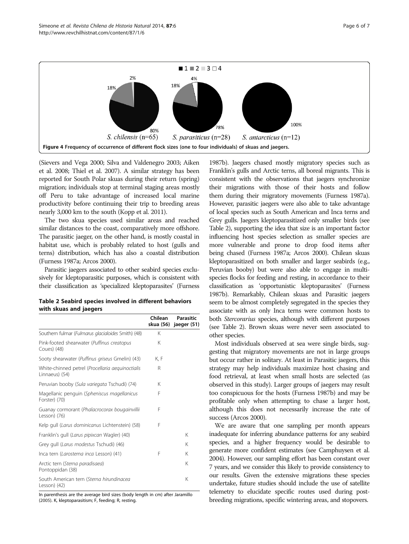<span id="page-5-0"></span>

(Sievers and Vega [2000](#page-6-0); Silva and Valdenegro [2003;](#page-6-0) Aiken et al. [2008](#page-6-0); Thiel et al. [2007](#page-6-0)). A similar strategy has been reported for South Polar skuas during their return (spring) migration; individuals stop at terminal staging areas mostly off Peru to take advantage of increased local marine productivity before continuing their trip to breeding areas nearly 3,000 km to the south (Kopp et al. [2011\)](#page-6-0).

The two skua species used similar areas and reached similar distances to the coast, comparatively more offshore. The parasitic jaeger, on the other hand, is mostly coastal in habitat use, which is probably related to host (gulls and terns) distribution, which has also a coastal distribution (Furness [1987a;](#page-6-0) Arcos [2000\)](#page-6-0).

Parasitic jaegers associated to other seabird species exclusively for kleptoparasitic purposes, which is consistent with their classification as 'specialized kleptoparasites' (Furness

|                        | Table 2 Seabird species involved in different behaviors |
|------------------------|---------------------------------------------------------|
| with skuas and jaegers |                                                         |

|                                                                    | Chilean<br>skua (56) | Parasitic<br>jaeger (51) |
|--------------------------------------------------------------------|----------------------|--------------------------|
| Southern fulmar (Fulmarus glacialoides Smith) (48)                 | Κ                    |                          |
| Pink-footed shearwater (Puffinus creatopus<br>Coues) (48)          | K                    |                          |
| Sooty shearwater (Puffinus griseus Gmelin) (43)                    | K. F                 |                          |
| White-chinned petrel (Procellaria aequinoctialis<br>Linnaeus) (54) | R                    |                          |
| Peruvian booby (Sula variegata Tschudi) (74)                       | Κ                    |                          |
| Magellanic penguin (Spheniscus magellanicus<br>Forster) (70)       | F                    |                          |
| Guanay cormorant (Phalacrocorax bougainvillii<br>Lesson) (76)      | F                    |                          |
| Kelp gull (Larus dominicanus Lichtenstein) (58)                    | F                    |                          |
| Franklin's gull (Larus pipixcan Wagler) (40)                       |                      | K                        |
| Grey gull (Larus modestus Tschudi) (46)                            |                      | K                        |
| Inca tern (Larosterna inca Lesson) (41)                            | F                    | K                        |
| Arctic tern (Sterna paradisaea)<br>Pontoppidan (38)                |                      | Κ                        |
| South American tern (Sterna hirundinacea<br>Lesson) (42)           |                      | K                        |

In parenthesis are the average bird sizes (body length in cm) after Jaramillo ([2005\)](#page-6-0). K, kleptoparasitism; F, feeding; R, resting.

[1987b](#page-6-0)). Jaegers chased mostly migratory species such as Franklin's gulls and Arctic terns, all boreal migrants. This is consistent with the observations that jaegers synchronize their migrations with those of their hosts and follow them during their migratory movements (Furness [1987a\)](#page-6-0). However, parasitic jaegers were also able to take advantage of local species such as South American and Inca terns and Grey gulls. Jaegers kleptoparasitized only smaller birds (see Table 2), supporting the idea that size is an important factor influencing host species selection as smaller species are more vulnerable and prone to drop food items after being chased (Furness [1987a](#page-6-0); Arcos [2000\)](#page-6-0). Chilean skuas kleptoparasitized on both smaller and larger seabirds (e.g., Peruvian booby) but were also able to engage in multispecies flocks for feeding and resting, in accordance to their classification as 'opportunistic kleptoparasites' (Furness [1987b](#page-6-0)). Remarkably, Chilean skuas and Parasitic jaegers seem to be almost completely segregated in the species they associate with as only Inca terns were common hosts to both Stercorarius species, although with different purposes (see Table 2). Brown skuas were never seen associated to other species.

Most individuals observed at sea were single birds, suggesting that migratory movements are not in large groups but occur rather in solitary. At least in Parasitic jaegers, this strategy may help individuals maximize host chasing and food retrieval, at least when small hosts are selected (as observed in this study). Larger groups of jaegers may result too conspicuous for the hosts (Furness [1987b\)](#page-6-0) and may be profitable only when attempting to chase a larger host, although this does not necessarily increase the rate of success (Arcos [2000](#page-6-0)).

We are aware that one sampling per month appears inadequate for inferring abundance patterns for any seabird species, and a higher frequency would be desirable to generate more confident estimates (see Camphuysen et al. [2004](#page-6-0)). However, our sampling effort has been constant over 7 years, and we consider this likely to provide consistency to our results. Given the extensive migrations these species undertake, future studies should include the use of satellite telemetry to elucidate specific routes used during postbreeding migrations, specific wintering areas, and stopovers.